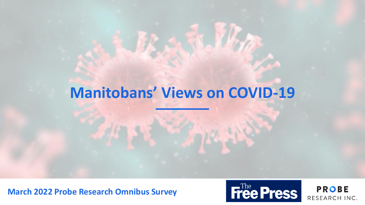# **Manitobans' Views on COVID-19**

**March 2022 Probe Research Omnibus Survey**

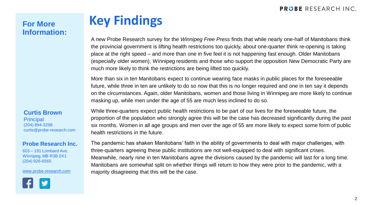# **Information:**

# **For More Key Findings**

A new Probe Research survey for the *Winnipeg Free Press* finds that while nearly one-half of Manitobans think the provincial government is lifting health restrictions too quickly, about one-quarter think re-opening is taking place at the right speed – and more than one in five feel it is not happening fast enough. Older Manitobans (especially older women), Winnipeg residents and those who support the opposition New Democratic Party are much more likely to think the restrictions are being lifted too quickly.

More than six in ten Manitobans expect to continue wearing face masks in public places for the foreseeable future, while three in ten are unlikely to do so now that this is no longer required and one in ten say it depends on the circumstances. Again, older Manitobans, women and those living in Winnipeg are more likely to continue masking up, while men under the age of 55 are much less inclined to do so.

#### **Curtis Brown Principal**

(204) 894-3298 curtis@probe-research.com

#### **Probe Research Inc.**

603 – 191 Lombard Ave. Winnipeg, MB R3B 0X1 (204) 926-6565

[www.probe-research.com](http://www.probe-research.com/)



While three-quarters expect public health restrictions to be part of our lives for the foreseeable future, the proportion of the population who strongly agree this will be the case has decreased significantly during the past six months. Women in all age groups and men over the age of 55 are more likely to expect some form of public health restrictions in the future.

The pandemic has shaken Manitobans' faith in the ability of governments to deal with major challenges, with three-quarters agreeing these public institutions are not well-equipped to deal with significant crises. Meanwhile, nearly nine in ten Manitobans agree the divisions caused by the pandemic will last for a long time. Manitobans are somewhat split on whether things will return to how they were prior to the pandemic, with a majority disagreeing that this will be the case.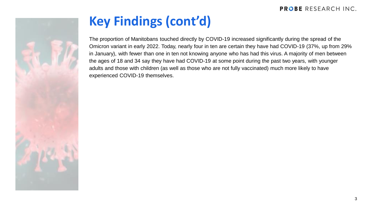

# **Key Findings (cont'd)**

The proportion of Manitobans touched directly by COVID-19 increased significantly during the spread of the Omicron variant in early 2022. Today, nearly four in ten are certain they have had COVID-19 (37%, up from 29% in January), with fewer than one in ten not knowing anyone who has had this virus. A majority of men between the ages of 18 and 34 say they have had COVID-19 at some point during the past two years, with younger adults and those with children (as well as those who are not fully vaccinated) much more likely to have experienced COVID-19 themselves.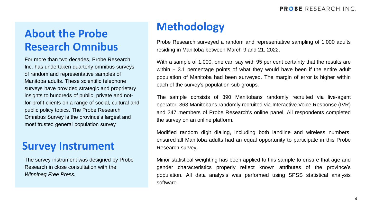# **Methodology About the Probe Research Omnibus**

For more than two decades, Probe Research Inc. has undertaken quarterly omnibus surveys of random and representative samples of Manitoba adults. These scientific telephone surveys have provided strategic and proprietary insights to hundreds of public, private and notfor-profit clients on a range of social, cultural and public policy topics. The Probe Research Omnibus Survey is the province's largest and most trusted general population survey.

### **Survey Instrument**

The survey instrument was designed by Probe Research in close consultation with the *Winnipeg Free Press.*

Probe Research surveyed a random and representative sampling of 1,000 adults residing in Manitoba between March 9 and 21, 2022.

With a sample of 1,000, one can say with 95 per cent certainty that the results are within  $\pm$  3.1 percentage points of what they would have been if the entire adult population of Manitoba had been surveyed. The margin of error is higher within each of the survey's population sub-groups.

The sample consists of 390 Manitobans randomly recruited via live-agent operator; 363 Manitobans randomly recruited via Interactive Voice Response (IVR) and 247 members of Probe Research's online panel. All respondents completed the survey on an online platform.

Modified random digit dialing, including both landline and wireless numbers, ensured all Manitoba adults had an equal opportunity to participate in this Probe Research survey.

Minor statistical weighting has been applied to this sample to ensure that age and gender characteristics properly reflect known attributes of the province's population. All data analysis was performed using SPSS statistical analysis software.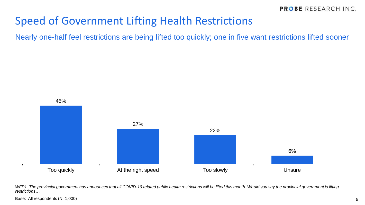### Speed of Government Lifting Health Restrictions

Nearly one-half feel restrictions are being lifted too quickly; one in five want restrictions lifted sooner



WFP1. The provincial government has announced that all COVID-19 related public health restrictions will be lifted this month. Would you say the provincial government is lifting *restrictions…*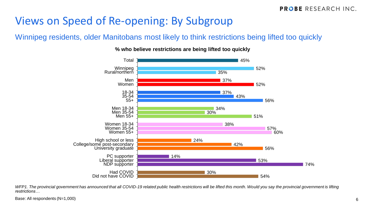### Views on Speed of Re-opening: By Subgroup

### Winnipeg residents, older Manitobans most likely to think restrictions being lifted too quickly



#### **% who believe restrictions are being lifted too quickly**

*WFP1. The provincial government has announced that all COVID-19 related public health restrictions will be lifted this month. Would you say the provincial government is lifting restrictions…*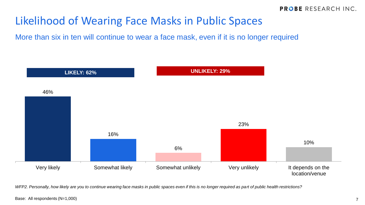### Likelihood of Wearing Face Masks in Public Spaces

More than six in ten will continue to wear a face mask, even if it is no longer required



*WFP2. Personally, how likely are you to continue wearing face masks in public spaces even if this is no longer required as part of public health restrictions?*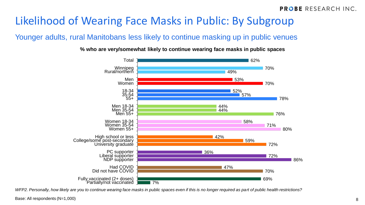### Likelihood of Wearing Face Masks in Public: By Subgroup

#### Younger adults, rural Manitobans less likely to continue masking up in public venues

**% who are very/somewhat likely to continue wearing face masks in public spaces**



*WFP2. Personally, how likely are you to continue wearing face masks in public spaces even if this is no longer required as part of public health restrictions?*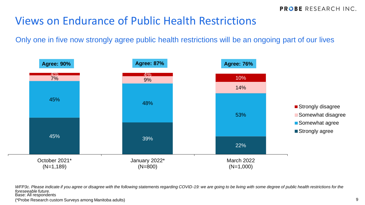### Views on Endurance of Public Health Restrictions

Only one in five now strongly agree public health restrictions will be an ongoing part of our lives



WFP3c. Please indicate if you agree or disagree with the following statements regarding COVID-19: we are going to be living with some degree of public health restrictions for the *foreseeable future.* Base: All respondents

(\*Probe Research custom Surveys among Manitoba adults)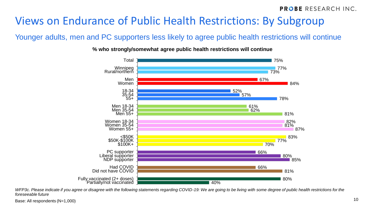## Views on Endurance of Public Health Restrictions: By Subgroup

### Younger adults, men and PC supporters less likely to agree public health restrictions will continue

**% who strongly/somewhat agree public health restrictions will continue**



*WFP3c. Please indicate if you agree or disagree with the following statements regarding COVID-19: We are going to be living with some degree of public health restrictions for the foreseeable future*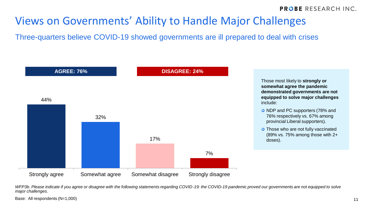### Views on Governments' Ability to Handle Major Challenges

Three-quarters believe COVID-19 showed governments are ill prepared to deal with crises



*WFP3b. Please indicate if you agree or disagree with the following statements regarding COVID-19: the COVID-19 pandemic proved our governments are not equipped to solve major challenges.*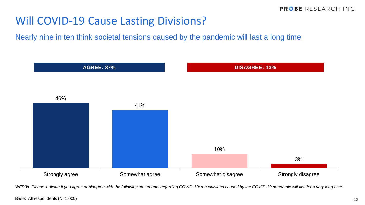### Will COVID-19 Cause Lasting Divisions?

Nearly nine in ten think societal tensions caused by the pandemic will last a long time



*WFP3a. Please indicate if you agree or disagree with the following statements regarding COVID-19: the divisions caused by the COVID-19 pandemic will last for a very long time.*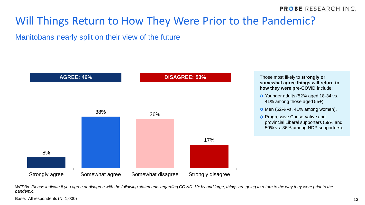### Will Things Return to How They Were Prior to the Pandemic?

#### Manitobans nearly split on their view of the future



**somewhat agree things will return to how they were pre-COVID** include:

- Younger adults (52% aged 18-34 vs. 41% among those aged 55+).
- O Men (52% vs. 41% among women).
- **O** Progressive Conservative and provincial Liberal supporters (59% and 50% vs. 36% among NDP supporters).

*WFP3d. Please indicate if you agree or disagree with the following statements regarding COVID-19: by and large, things are going to return to the way they were prior to the pandemic.*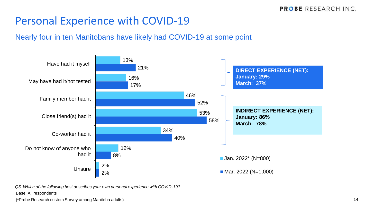### Personal Experience with COVID-19

#### Nearly four in ten Manitobans have likely had COVID-19 at some point



*Q5. Which of the following best describes your own personal experience with COVID-19?*

Base: All respondents

(\*Probe Research custom Survey among Manitoba adults)